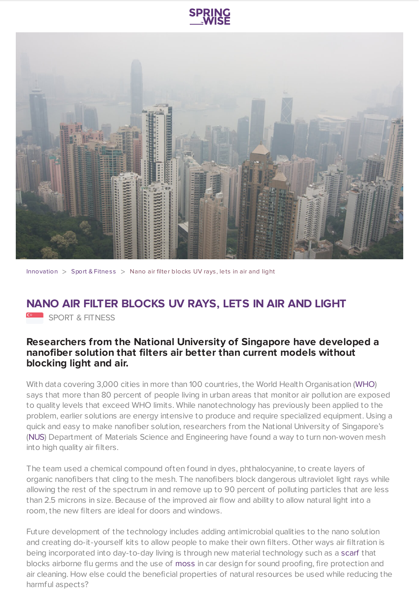



[Innovation](https://www.springwise.com/search?type=innovation)  $>$  Sport & [Fitnes](https://www.springwise.com/search?type=innovation§or=sport-fitness)s  $>$  Nano air filter blocks UV rays, lets in air and light

## **NANO AIR FILTER BLOCKS UV RAYS, LETS IN AIR AND LIGHT**

SPORT & FITNESS

## **Researchers from the National University of Singapore have developed a nanofiber solution that filters air better than current models without blocking light and air.**

With data covering 3,000 cities in more than 100 countries, the World Health Organisation ([WHO\)](http://www.who.int/en/) says that more than 80 percent of people living in urban areas that monitor air pollution are exposed to quality levels that exceed WHO limits. While nanotechnology has previously been applied to the problem, earlier solutions are energy intensive to produce and require specialized equipment. Using a quick and easy to make nanofiber solution, researchers from the National University of Singapore's ([NUS](http://nus.edu.sg/)) Department of Materials Science and Engineering have found a way to turn non-woven mesh into high quality air filters.

The team used a chemical compound often found in dyes, phthalocyanine, to create layers of organic nanofibers that cling to the mesh. The nanofibers block dangerous ultraviolet light rays while allowing the rest of the spectrum in and remove up to 90 percent of polluting particles that are less than 2.5 microns in size. Because of the improved air flow and ability to allow natural light into a room, the new filters are ideal for doors and windows.

Future development of the technology includes adding antimicrobial qualities to the nano solution and creating do-it-yourself kits to allow people to make their own filters. Other ways air filtration is being incorporated into day-to-day living is through new material technology such as a [scarf](https://www.springwise.com/scarf-protects-wearers-getting-flu) that blocks airborne flu germs and the use of [moss](https://www.springwise.com/solar-powered-car-uses-moss-dashboard-air-filter) in car design for sound proofing, fire protection and air cleaning. How else could the beneficial properties of natural resources be used while reducing the harmful aspects?